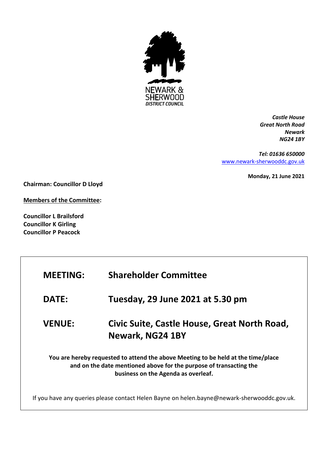

*Castle House Great North Road Newark NG24 1BY*

*Tel: 01636 650000* [www.newark-sherwooddc.gov.uk](http://www.newark-sherwooddc.gov.uk/)

**Monday, 21 June 2021**

**Chairman: Councillor D Lloyd**

**Members of the Committee:**

**Councillor L Brailsford Councillor K Girling Councillor P Peacock**

| <b>MEETING:</b>                                                                                                                                                                                | <b>Shareholder Committee</b>                                                                |  |
|------------------------------------------------------------------------------------------------------------------------------------------------------------------------------------------------|---------------------------------------------------------------------------------------------|--|
| <b>DATE:</b>                                                                                                                                                                                   | Tuesday, 29 June 2021 at 5.30 pm                                                            |  |
| <b>VENUE:</b>                                                                                                                                                                                  | Civic Suite, Castle House, Great North Road,<br>Newark, NG24 1BY                            |  |
| You are hereby requested to attend the above Meeting to be held at the time/place<br>and on the date mentioned above for the purpose of transacting the<br>business on the Agenda as overleaf. |                                                                                             |  |
|                                                                                                                                                                                                | If you have any queries please contact Helen Bayne on helen.bayne@newark-sherwooddc.gov.uk. |  |